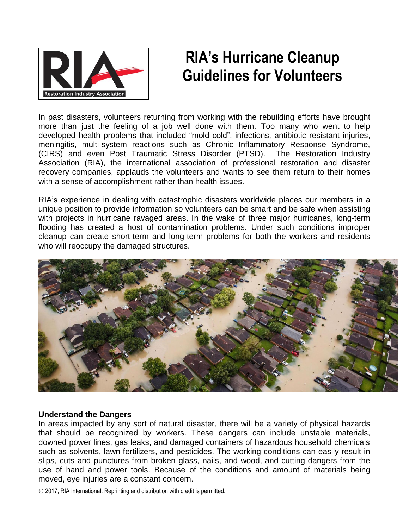

# **RIA's Hurricane Cleanup Guidelines for Volunteers**

In past disasters, volunteers returning from working with the rebuilding efforts have brought more than just the feeling of a job well done with them. Too many who went to help developed health problems that included "mold cold", infections, antibiotic resistant injuries, meningitis, multi-system reactions such as Chronic Inflammatory Response Syndrome, (CIRS) and even Post Traumatic Stress Disorder (PTSD). The Restoration Industry Association (RIA), the international association of professional restoration and disaster recovery companies, applauds the volunteers and wants to see them return to their homes with a sense of accomplishment rather than health issues.

RIA's experience in dealing with catastrophic disasters worldwide places our members in a unique position to provide information so volunteers can be smart and be safe when assisting with projects in hurricane ravaged areas. In the wake of three major hurricanes, long-term flooding has created a host of contamination problems. Under such conditions improper cleanup can create short-term and long-term problems for both the workers and residents who will reoccupy the damaged structures.



#### **Understand the Dangers**

In areas impacted by any sort of natural disaster, there will be a variety of physical hazards that should be recognized by workers. These dangers can include unstable materials, downed power lines, gas leaks, and damaged containers of hazardous household chemicals such as solvents, lawn fertilizers, and pesticides. The working conditions can easily result in slips, cuts and punctures from broken glass, nails, and wood, and cutting dangers from the use of hand and power tools. Because of the conditions and amount of materials being moved, eye injuries are a constant concern.

© 2017, RIA International. Reprinting and distribution with credit is permitted.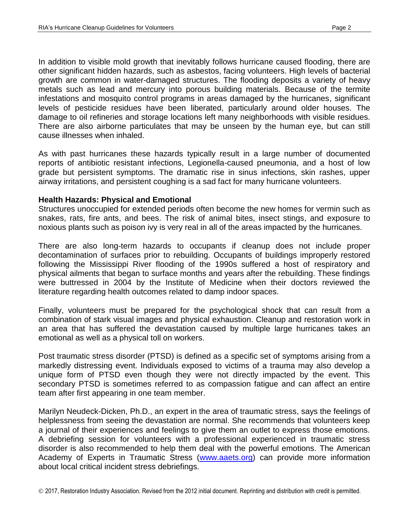In addition to visible mold growth that inevitably follows hurricane caused flooding, there are other significant hidden hazards, such as asbestos, facing volunteers. High levels of bacterial growth are common in water-damaged structures. The flooding deposits a variety of heavy metals such as lead and mercury into porous building materials. Because of the termite infestations and mosquito control programs in areas damaged by the hurricanes, significant levels of pesticide residues have been liberated, particularly around older houses. The damage to oil refineries and storage locations left many neighborhoods with visible residues. There are also airborne particulates that may be unseen by the human eye, but can still cause illnesses when inhaled.

As with past hurricanes these hazards typically result in a large number of documented reports of antibiotic resistant infections, Legionella-caused pneumonia, and a host of low grade but persistent symptoms. The dramatic rise in sinus infections, skin rashes, upper airway irritations, and persistent coughing is a sad fact for many hurricane volunteers.

#### **Health Hazards: Physical and Emotional**

Structures unoccupied for extended periods often become the new homes for vermin such as snakes, rats, fire ants, and bees. The risk of animal bites, insect stings, and exposure to noxious plants such as poison ivy is very real in all of the areas impacted by the hurricanes.

There are also long-term hazards to occupants if cleanup does not include proper decontamination of surfaces prior to rebuilding. Occupants of buildings improperly restored following the Mississippi River flooding of the 1990s suffered a host of respiratory and physical ailments that began to surface months and years after the rebuilding. These findings were buttressed in 2004 by the Institute of Medicine when their doctors reviewed the literature regarding health outcomes related to damp indoor spaces.

Finally, volunteers must be prepared for the psychological shock that can result from a combination of stark visual images and physical exhaustion. Cleanup and restoration work in an area that has suffered the devastation caused by multiple large hurricanes takes an emotional as well as a physical toll on workers.

Post traumatic stress disorder (PTSD) is defined as a specific set of symptoms arising from a markedly distressing event. Individuals exposed to victims of a trauma may also develop a unique form of PTSD even though they were not directly impacted by the event. This secondary PTSD is sometimes referred to as compassion fatigue and can affect an entire team after first appearing in one team member.

Marilyn Neudeck-Dicken, Ph.D., an expert in the area of traumatic stress, says the feelings of helplessness from seeing the devastation are normal. She recommends that volunteers keep a journal of their experiences and feelings to give them an outlet to express those emotions. A debriefing session for volunteers with a professional experienced in traumatic stress disorder is also recommended to help them deal with the powerful emotions. The American Academy of Experts in Traumatic Stress [\(www.aaets.org\)](http://www.aaets.org/) can provide more information about local critical incident stress debriefings.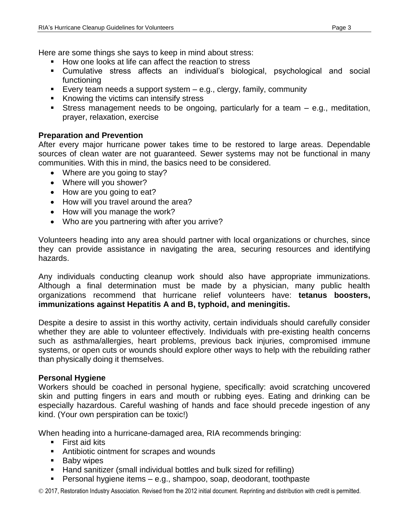Here are some things she says to keep in mind about stress:

- How one looks at life can affect the reaction to stress
- Cumulative stress affects an individual's biological, psychological and social functioning
- Every team needs a support system  $-$  e.g., clergy, family, community
- Knowing the victims can intensify stress
- Stress management needs to be ongoing, particularly for a team e.g., meditation, prayer, relaxation, exercise

## **Preparation and Prevention**

After every major hurricane power takes time to be restored to large areas. Dependable sources of clean water are not guaranteed. Sewer systems may not be functional in many communities. With this in mind, the basics need to be considered.

- Where are you going to stay?
- Where will you shower?
- How are you going to eat?
- How will you travel around the area?
- How will you manage the work?
- Who are you partnering with after you arrive?

Volunteers heading into any area should partner with local organizations or churches, since they can provide assistance in navigating the area, securing resources and identifying hazards.

Any individuals conducting cleanup work should also have appropriate immunizations. Although a final determination must be made by a physician, many public health organizations recommend that hurricane relief volunteers have: **tetanus boosters, immunizations against Hepatitis A and B, typhoid, and meningitis.**

Despite a desire to assist in this worthy activity, certain individuals should carefully consider whether they are able to volunteer effectively. Individuals with pre-existing health concerns such as asthma/allergies, heart problems, previous back injuries, compromised immune systems, or open cuts or wounds should explore other ways to help with the rebuilding rather than physically doing it themselves.

## **Personal Hygiene**

Workers should be coached in personal hygiene, specifically: avoid scratching uncovered skin and putting fingers in ears and mouth or rubbing eyes. Eating and drinking can be especially hazardous. Careful washing of hands and face should precede ingestion of any kind. (Your own perspiration can be toxic!)

When heading into a hurricane-damaged area, RIA recommends bringing:

- **First aid kits**
- **EXECUTE:** Antibiotic ointment for scrapes and wounds
- **Baby wipes**
- Hand sanitizer (small individual bottles and bulk sized for refilling)
- Personal hygiene items e.g., shampoo, soap, deodorant, toothpaste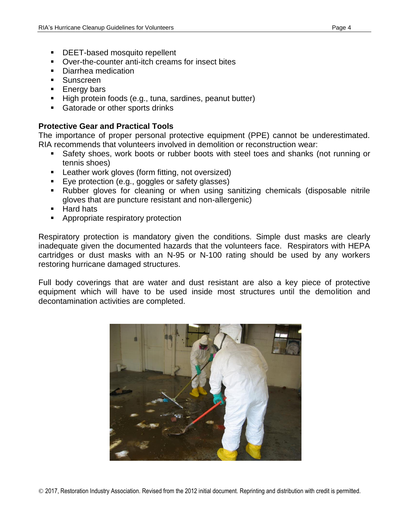- **DEET-based mosquito repellent**
- Over-the-counter anti-itch creams for insect bites
- Diarrhea medication
- **Sunscreen**
- **Energy bars**
- High protein foods (e.g., tuna, sardines, peanut butter)
- Gatorade or other sports drinks

## **Protective Gear and Practical Tools**

The importance of proper personal protective equipment (PPE) cannot be underestimated. RIA recommends that volunteers involved in demolition or reconstruction wear:

- Safety shoes, work boots or rubber boots with steel toes and shanks (not running or tennis shoes)
- **EXECT** Leather work gloves (form fitting, not oversized)
- Eye protection (e.g., goggles or safety glasses)
- Rubber gloves for cleaning or when using sanitizing chemicals (disposable nitrile gloves that are puncture resistant and non-allergenic)
- **Hard hats**
- **Appropriate respiratory protection**

Respiratory protection is mandatory given the conditions. Simple dust masks are clearly inadequate given the documented hazards that the volunteers face. Respirators with HEPA cartridges or dust masks with an N-95 or N-100 rating should be used by any workers restoring hurricane damaged structures.

Full body coverings that are water and dust resistant are also a key piece of protective equipment which will have to be used inside most structures until the demolition and decontamination activities are completed.

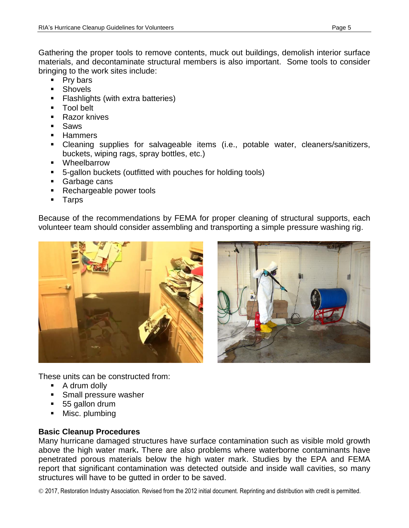Gathering the proper tools to remove contents, muck out buildings, demolish interior surface materials, and decontaminate structural members is also important. Some tools to consider bringing to the work sites include:

- **Pry bars**
- **Shovels**
- **Flashlights (with extra batteries)**
- **Tool belt**
- Razor knives
- Saws
- **Hammers**
- Cleaning supplies for salvageable items (i.e., potable water, cleaners/sanitizers, buckets, wiping rags, spray bottles, etc.)
- Wheelbarrow
- 5-gallon buckets (outfitted with pouches for holding tools)
- **Garbage cans**
- Rechargeable power tools
- **Tarps**

Because of the recommendations by FEMA for proper cleaning of structural supports, each volunteer team should consider assembling and transporting a simple pressure washing rig.





These units can be constructed from:

- A drum dolly
- **Small pressure washer**
- 55 gallon drum
- Misc. plumbing

# **Basic Cleanup Procedures**

Many hurricane damaged structures have surface contamination such as visible mold growth above the high water mark**.** There are also problems where waterborne contaminants have penetrated porous materials below the high water mark. Studies by the EPA and FEMA report that significant contamination was detected outside and inside wall cavities, so many structures will have to be gutted in order to be saved.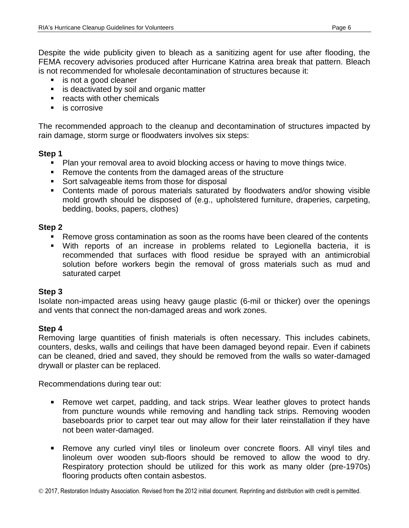Despite the wide publicity given to bleach as a sanitizing agent for use after flooding, the FEMA recovery advisories produced after Hurricane Katrina area break that pattern. Bleach is not recommended for wholesale decontamination of structures because it:

- is not a good cleaner
- **is deactivated by soil and organic matter**
- **F** reacts with other chemicals
- **is corrosive**

The recommended approach to the cleanup and decontamination of structures impacted by rain damage, storm surge or floodwaters involves six steps:

## **Step 1**

- Plan your removal area to avoid blocking access or having to move things twice.
- Remove the contents from the damaged areas of the structure
- Sort salvageable items from those for disposal
- Contents made of porous materials saturated by floodwaters and/or showing visible mold growth should be disposed of (e.g., upholstered furniture, draperies, carpeting, bedding, books, papers, clothes)

# **Step 2**

- Remove gross contamination as soon as the rooms have been cleared of the contents
- With reports of an increase in problems related to Legionella bacteria, it is recommended that surfaces with flood residue be sprayed with an antimicrobial solution before workers begin the removal of gross materials such as mud and saturated carpet

# **Step 3**

Isolate non-impacted areas using heavy gauge plastic (6-mil or thicker) over the openings and vents that connect the non-damaged areas and work zones.

# **Step 4**

Removing large quantities of finish materials is often necessary. This includes cabinets, counters, desks, walls and ceilings that have been damaged beyond repair. Even if cabinets can be cleaned, dried and saved, they should be removed from the walls so water-damaged drywall or plaster can be replaced.

Recommendations during tear out:

- Remove wet carpet, padding, and tack strips. Wear leather gloves to protect hands from puncture wounds while removing and handling tack strips. Removing wooden baseboards prior to carpet tear out may allow for their later reinstallation if they have not been water-damaged.
- Remove any curled vinyl tiles or linoleum over concrete floors. All vinyl tiles and linoleum over wooden sub-floors should be removed to allow the wood to dry. Respiratory protection should be utilized for this work as many older (pre-1970s) flooring products often contain asbestos.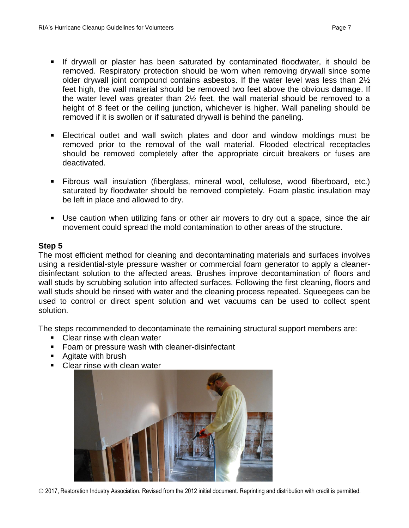- If drywall or plaster has been saturated by contaminated floodwater, it should be removed. Respiratory protection should be worn when removing drywall since some older drywall joint compound contains asbestos. If the water level was less than 2½ feet high, the wall material should be removed two feet above the obvious damage. If the water level was greater than 2½ feet, the wall material should be removed to a height of 8 feet or the ceiling junction, whichever is higher. Wall paneling should be removed if it is swollen or if saturated drywall is behind the paneling.
- Electrical outlet and wall switch plates and door and window moldings must be removed prior to the removal of the wall material. Flooded electrical receptacles should be removed completely after the appropriate circuit breakers or fuses are deactivated.
- Fibrous wall insulation (fiberglass, mineral wool, cellulose, wood fiberboard, etc.) saturated by floodwater should be removed completely. Foam plastic insulation may be left in place and allowed to dry.
- Use caution when utilizing fans or other air movers to dry out a space, since the air movement could spread the mold contamination to other areas of the structure.

## **Step 5**

The most efficient method for cleaning and decontaminating materials and surfaces involves using a residential-style pressure washer or commercial foam generator to apply a cleanerdisinfectant solution to the affected areas. Brushes improve decontamination of floors and wall studs by scrubbing solution into affected surfaces. Following the first cleaning, floors and wall studs should be rinsed with water and the cleaning process repeated. Squeegees can be used to control or direct spent solution and wet vacuums can be used to collect spent solution.

The steps recommended to decontaminate the remaining structural support members are:

- Clear rinse with clean water
- Foam or pressure wash with cleaner-disinfectant
- Agitate with brush
- Clear rinse with clean water

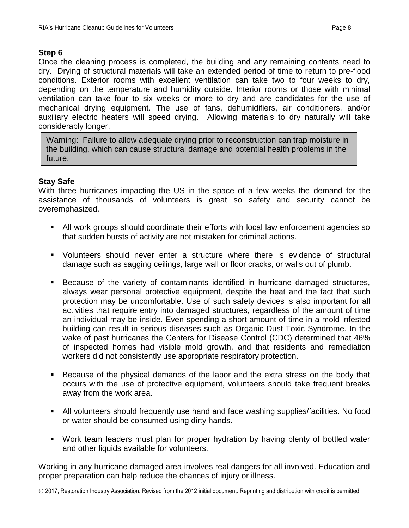#### **Step 6**

Once the cleaning process is completed, the building and any remaining contents need to dry. Drying of structural materials will take an extended period of time to return to pre-flood conditions. Exterior rooms with excellent ventilation can take two to four weeks to dry, depending on the temperature and humidity outside. Interior rooms or those with minimal ventilation can take four to six weeks or more to dry and are candidates for the use of mechanical drying equipment. The use of fans, dehumidifiers, air conditioners, and/or auxiliary electric heaters will speed drying. Allowing materials to dry naturally will take considerably longer.

Warning: Failure to allow adequate drying prior to reconstruction can trap moisture in the building, which can cause structural damage and potential health problems in the future.

#### **Stay Safe**

With three hurricanes impacting the US in the space of a few weeks the demand for the assistance of thousands of volunteers is great so safety and security cannot be overemphasized.

- All work groups should coordinate their efforts with local law enforcement agencies so that sudden bursts of activity are not mistaken for criminal actions.
- Volunteers should never enter a structure where there is evidence of structural damage such as sagging ceilings, large wall or floor cracks, or walls out of plumb.
- Because of the variety of contaminants identified in hurricane damaged structures, always wear personal protective equipment, despite the heat and the fact that such protection may be uncomfortable. Use of such safety devices is also important for all activities that require entry into damaged structures, regardless of the amount of time an individual may be inside. Even spending a short amount of time in a mold infested building can result in serious diseases such as Organic Dust Toxic Syndrome. In the wake of past hurricanes the Centers for Disease Control (CDC) determined that 46% of inspected homes had visible mold growth, and that residents and remediation workers did not consistently use appropriate respiratory protection.
- Because of the physical demands of the labor and the extra stress on the body that occurs with the use of protective equipment, volunteers should take frequent breaks away from the work area.
- All volunteers should frequently use hand and face washing supplies/facilities. No food or water should be consumed using dirty hands.
- Work team leaders must plan for proper hydration by having plenty of bottled water and other liquids available for volunteers.

Working in any hurricane damaged area involves real dangers for all involved. Education and proper preparation can help reduce the chances of injury or illness.